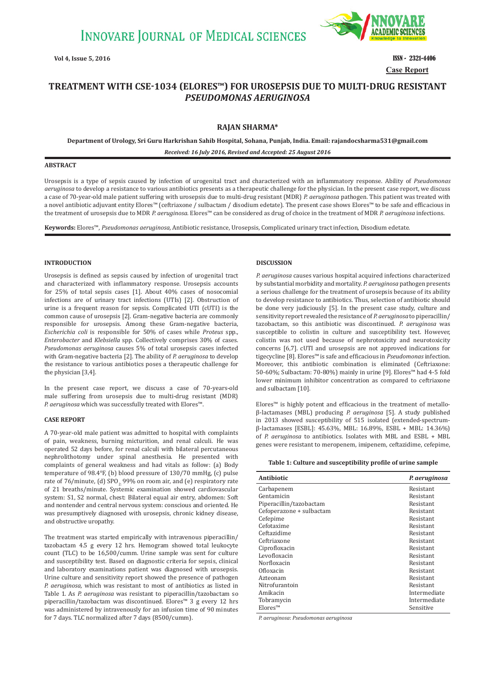

**Vol 4, Issue 5, 2016 ISSN - 2321-4406 Case Report**

# **TREATMENT WITH CSEǧ1034 ȍELORES™Ȏ FOR UROSEPSIS DUE TO MULTIǧDRUG RESISTANT**  *PSEUDOMONAS AERUGINOSA*

# **RAJAN SHARMA\***

**Department of Urology, Sri Guru Harkrishan Sahib Hospital, Sohana, Punjab, India. Email: rajandocsharma531@gmail.com**

*Received: 16 July 2016, Revised and Accepted: 25 August 2016*

# **ABSTRACT**

Urosepsis is a type of sepsis caused by infection of urogenital tract and characterized with an inflammatory response. Ability of *Pseudomonas aeruginosa* to develop a resistance to various antibiotics presents as a therapeutic challenge for the physician. In the present case report, we discuss a case of 70-year-old male patient suffering with urosepsis due to multi-drug resistant (MDR) *P. aeruginosa* pathogen. This patient was treated with a novel antibiotic adjuvant entity Elores™ (ceftriaxone / sulbactam / disodium edetate). The present case shows Elores™ to be safe and efficacious in the treatment of urosepsis due to MDR *P. aeruginosa*. Elores™ can be considered as drug of choice in the treatment of MDR *P. aeruginosa* infections.

**Keywords:** Elores™, *Pseudomonas aeruginosa,* Antibiotic resistance, Urosepsis, Complicated urinary tract infection, Disodium edetate.

# **INTRODUCTION**

Urosepsis is defined as sepsis caused by infection of urogenital tract and characterized with inflammatory response. Urosepsis accounts for 25% of total sepsis cases [1]. About 40% cases of nosocomial infections are of urinary tract infections (UTIs) [2]. Obstruction of urine is a frequent reason for sepsis. Complicated UTI (cUTI) is the common cause of urosepsis [2]. Gram-negative bacteria are commonly responsible for urosepsis. Among these Gram-negative bacteria, *Escherichia coli* is responsible for 50% of cases while *Proteus* spp., *Enterobacter* and *Klebsiella* spp. Collectively comprises 30% of cases. *Pseudomonas aeruginosa* causes 5% of total urosepsis cases infected with Gram-negative bacteria [2]. The ability of *P. aeruginosa* to develop the resistance to various antibiotics poses a therapeutic challenge for the physician [3,4].

In the present case report, we discuss a case of 70-years-old male suffering from urosepsis due to multi-drug resistant (MDR) *P. aeruginosa* which was successfully treated with Elores™.

#### **CASE REPORT**

A 70-year-old male patient was admitted to hospital with complaints of pain, weakness, burning micturition, and renal calculi. He was operated 52 days before, for renal calculi with bilateral percutaneous nephrolithotomy under spinal anesthesia. He presented with complaints of general weakness and had vitals as follow: (a) Body temperature of 98.4°F, (b) blood pressure of 130/70 mmHg, (c) pulse rate of  $76$ /minute, (d) SPO<sub>2</sub>. 99% on room air, and (e) respiratory rate of 21 breaths/minute. Systemic examination showed cardiovascular system: S1, S2 normal, chest: Bilateral equal air entry, abdomen: Soft and nontender and central nervous system: conscious and oriented. He was presumptively diagnosed with urosepsis, chronic kidney disease, and obstructive uropathy.

The treatment was started empirically with intravenous piperacillin/ tazobactam 4.5 g every 12 hrs. Hemogram showed total leukocyte count (TLC) to be 16,500/cumm. Urine sample was sent for culture and susceptibility test. Based on diagnostic criteria for sepsis, clinical and laboratory examinations patient was diagnosed with urosepsis. Urine culture and sensitivity report showed the presence of pathogen *P. aeruginosa,* which was resistant to most of antibiotics as listed in Table 1. As *P. aeruginosa* was resistant to piperacillin/tazobactam so piperacillin/tazobactam was discontinued. Elores™ 3 g every 12 hrs was administered by intravenously for an infusion time of 90 minutes for 7 days. TLC normalized after 7 days (8500/cumm).

# **DISCUSSION**

*P. aeruginosa* causes various hospital acquired infections characterized by substantial morbidity and mortality. *P. aeruginosa* pathogen presents a serious challenge for the treatment of urosepsis because of its ability to develop resistance to antibiotics. Thus, selection of antibiotic should be done very judiciously [5]. In the present case study, culture and sensitivity report revealed the resistance of *P. aeruginosa* to piperacillin/ tazobactam, so this antibiotic was discontinued. *P. aeruginosa* was susceptible to colistin in culture and susceptibility test. However, colistin was not used because of nephrotoxicity and neurotoxicity concerns [6,7]. cUTI and urosepsis are not approved indications for tigecycline [8]. Elores™ is safe and efficacious in *Pseudomonas* infection. Moreover, this antibiotic combination is eliminated (Ceftriaxone: 50-60%; Sulbactam: 70-80%) mainly in urine [9]. Elores™ had 4-5 fold lower minimum inhibitor concentration as compared to ceftriaxone and sulbactam [10].

Elores™ is highly potent and efficacious in the treatment of metalloβ-lactamases (MBL) producing *P. aeruginosa* [5]. A study published in 2013 showed susceptibility of 515 isolated (extended-spectrumβ-lactamases [ESBL]: 45.63%, MBL: 16.89%, ESBL + MBL: 14.36%) of *P. aeruginosa* to antibiotics. Isolates with MBL and ESBL + MBL genes were resistant to meropenem, imipenem, ceftazidime, cefepime,

| Table 1: Culture and susceptibility profile of urine sample |  |  |  |  |  |
|-------------------------------------------------------------|--|--|--|--|--|
|-------------------------------------------------------------|--|--|--|--|--|

| Antibiotic               | P. aeruginosa |
|--------------------------|---------------|
| Carbapenem               | Resistant     |
| Gentamicin               | Resistant     |
| Piperacillin/tazobactam  | Resistant     |
| Cefoperazone + sulbactam | Resistant     |
| Cefepime                 | Resistant     |
| Cefotaxime               | Resistant     |
| Ceftazidime              | Resistant     |
| Ceftriaxone              | Resistant     |
| Ciprofloxacin            | Resistant     |
| Levofloxacin             | Resistant     |
| Norfloxacin              | Resistant     |
| Ofloxacin                | Resistant     |
| Azteonam                 | Resistant     |
| Nitrofurantoin           | Resistant     |
| Amikacin                 | Intermediate  |
| Tobramycin               | Intermediate  |
| Elores <sup>TM</sup>     | Sensitive     |

*P. aeruginosa*: *Pseudomonas aeruginosa*